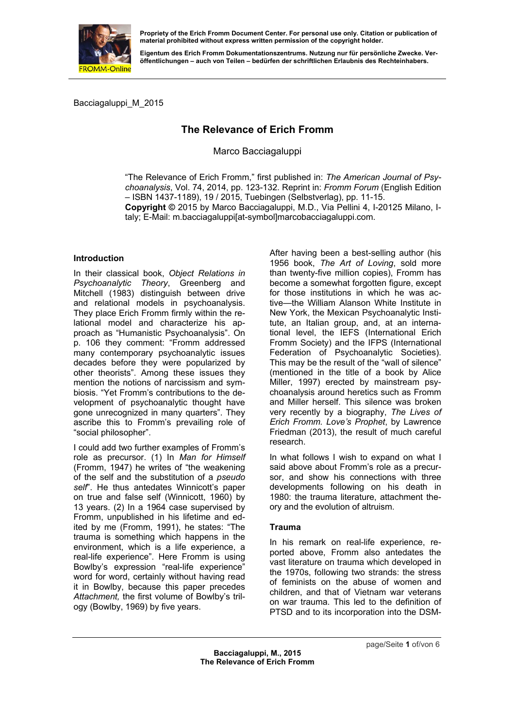

**Eigentum des Erich Fromm Dokumentationszentrums. Nutzung nur für persönliche Zwecke. Veröffentlichungen – auch von Teilen – bedürfen der schriftlichen Erlaubnis des Rechteinhabers.** 

Bacciagaluppi\_M\_2015

# **The Relevance of Erich Fromm**

Marco Bacciagaluppi

"The Relevance of Erich Fromm," first published in: *The American Journal of Psychoanalysis*, Vol. 74, 2014, pp. 123-132. Reprint in: *Fromm Forum* (English Edition – ISBN 1437-1189), 19 / 2015, Tuebingen (Selbstverlag), pp. 11-15.

**Copyright ©** 2015 by Marco Bacciagaluppi, M.D., Via Pellini 4, I-20125 Milano, Italy; E-Mail: m.bacciagaluppi[at-symbol]marcobacciagaluppi.com.

# **Introduction**

In their classical book, *Object Relations in Psychoanalytic Theory*, Greenberg and Mitchell (1983) distinguish between drive and relational models in psychoanalysis. They place Erich Fromm firmly within the relational model and characterize his approach as "Humanistic Psychoanalysis". On p. 106 they comment: "Fromm addressed many contemporary psychoanalytic issues decades before they were popularized by other theorists". Among these issues they mention the notions of narcissism and symbiosis. "Yet Fromm's contributions to the development of psychoanalytic thought have gone unrecognized in many quarters". They ascribe this to Fromm's prevailing role of "social philosopher".

I could add two further examples of Fromm's role as precursor. (1) In *Man for Himself* (Fromm, 1947) he writes of "the weakening of the self and the substitution of a *pseudo self*". He thus antedates Winnicott's paper on true and false self (Winnicott, 1960) by 13 years. (2) In a 1964 case supervised by Fromm, unpublished in his lifetime and edited by me (Fromm, 1991), he states: "The trauma is something which happens in the environment, which is a life experience, a real-life experience". Here Fromm is using Bowlby's expression "real-life experience" word for word, certainly without having read it in Bowlby, because this paper precedes *Attachment,* the first volume of Bowlby's trilogy (Bowlby, 1969) by five years.

After having been a best-selling author (his 1956 book, *The Art of Loving*, sold more than twenty-five million copies), Fromm has become a somewhat forgotten figure, except for those institutions in which he was active—the William Alanson White Institute in New York, the Mexican Psychoanalytic Institute, an Italian group, and, at an international level, the IEFS (International Erich Fromm Society) and the IFPS (International Federation of Psychoanalytic Societies). This may be the result of the "wall of silence" (mentioned in the title of a book by Alice Miller, 1997) erected by mainstream psychoanalysis around heretics such as Fromm and Miller herself. This silence was broken very recently by a biography, *The Lives of Erich Fromm. Love's Prophet*, by Lawrence Friedman (2013), the result of much careful research.

In what follows I wish to expand on what I said above about Fromm's role as a precursor, and show his connections with three developments following on his death in 1980: the trauma literature, attachment theory and the evolution of altruism.

# **Trauma**

In his remark on real-life experience, reported above, Fromm also antedates the vast literature on trauma which developed in the 1970s, following two strands: the stress of feminists on the abuse of women and children, and that of Vietnam war veterans on war trauma. This led to the definition of PTSD and to its incorporation into the DSM-

page/Seite **1** of/von 6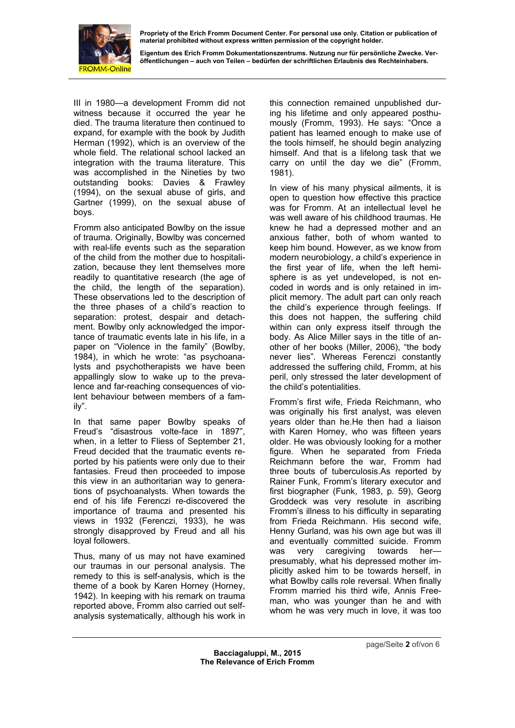

**Eigentum des Erich Fromm Dokumentationszentrums. Nutzung nur für persönliche Zwecke. Veröffentlichungen – auch von Teilen – bedürfen der schriftlichen Erlaubnis des Rechteinhabers.** 

III in 1980—a development Fromm did not witness because it occurred the year he died. The trauma literature then continued to expand, for example with the book by Judith Herman (1992), which is an overview of the whole field. The relational school lacked an integration with the trauma literature. This was accomplished in the Nineties by two outstanding books: Davies & Frawley (1994), on the sexual abuse of girls, and Gartner (1999), on the sexual abuse of boys.

Fromm also anticipated Bowlby on the issue of trauma. Originally, Bowlby was concerned with real-life events such as the separation of the child from the mother due to hospitalization, because they lent themselves more readily to quantitative research (the age of the child, the length of the separation). These observations led to the description of the three phases of a child's reaction to separation: protest, despair and detachment. Bowlby only acknowledged the importance of traumatic events late in his life, in a paper on "Violence in the family" (Bowlby, 1984), in which he wrote: "as psychoanalysts and psychotherapists we have been appallingly slow to wake up to the prevalence and far-reaching consequences of violent behaviour between members of a family".

In that same paper Bowlby speaks of Freud's "disastrous volte-face in 1897", when, in a letter to Fliess of September 21, Freud decided that the traumatic events reported by his patients were only due to their fantasies. Freud then proceeded to impose this view in an authoritarian way to generations of psychoanalysts. When towards the end of his life Ferenczi re-discovered the importance of trauma and presented his views in 1932 (Ferenczi, 1933), he was strongly disapproved by Freud and all his loyal followers.

Thus, many of us may not have examined our traumas in our personal analysis. The remedy to this is self-analysis, which is the theme of a book by Karen Horney (Horney, 1942). In keeping with his remark on trauma reported above, Fromm also carried out selfanalysis systematically, although his work in this connection remained unpublished during his lifetime and only appeared posthumously (Fromm, 1993). He says: "Once a patient has learned enough to make use of the tools himself, he should begin analyzing himself. And that is a lifelong task that we carry on until the day we die" (Fromm, 1981).

In view of his many physical ailments, it is open to question how effective this practice was for Fromm. At an intellectual level he was well aware of his childhood traumas. He knew he had a depressed mother and an anxious father, both of whom wanted to keep him bound. However, as we know from modern neurobiology, a child's experience in the first year of life, when the left hemisphere is as yet undeveloped, is not encoded in words and is only retained in implicit memory. The adult part can only reach the child's experience through feelings. If this does not happen, the suffering child within can only express itself through the body. As Alice Miller says in the title of another of her books (Miller, 2006), "the body never lies". Whereas Ferenczi constantly addressed the suffering child, Fromm, at his peril, only stressed the later development of the child's potentialities.

Fromm's first wife, Frieda Reichmann, who was originally his first analyst, was eleven years older than he.He then had a liaison with Karen Horney, who was fifteen years older. He was obviously looking for a mother figure. When he separated from Frieda Reichmann before the war, Fromm had three bouts of tuberculosis.As reported by Rainer Funk, Fromm's literary executor and first biographer (Funk, 1983, p. 59), Georg Groddeck was very resolute in ascribing Fromm's illness to his difficulty in separating from Frieda Reichmann. His second wife, Henny Gurland, was his own age but was ill and eventually committed suicide. Fromm was very caregiving towards her presumably, what his depressed mother implicitly asked him to be towards herself, in what Bowlby calls role reversal. When finally Fromm married his third wife, Annis Freeman, who was younger than he and with whom he was very much in love, it was too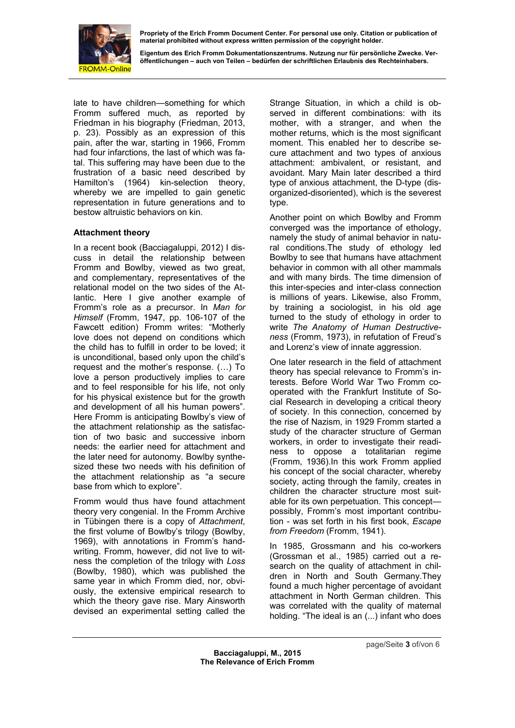

**Eigentum des Erich Fromm Dokumentationszentrums. Nutzung nur für persönliche Zwecke. Veröffentlichungen – auch von Teilen – bedürfen der schriftlichen Erlaubnis des Rechteinhabers.** 

late to have children—something for which Fromm suffered much, as reported by Friedman in his biography (Friedman, 2013, p. 23). Possibly as an expression of this pain, after the war, starting in 1966, Fromm had four infarctions, the last of which was fatal. This suffering may have been due to the frustration of a basic need described by Hamilton's (1964) kin-selection theory, whereby we are impelled to gain genetic representation in future generations and to bestow altruistic behaviors on kin.

# **Attachment theory**

In a recent book (Bacciagaluppi, 2012) I discuss in detail the relationship between Fromm and Bowlby, viewed as two great, and complementary, representatives of the relational model on the two sides of the Atlantic. Here I give another example of Fromm's role as a precursor. In *Man for Himself* (Fromm, 1947, pp. 106-107 of the Fawcett edition) Fromm writes: "Motherly love does not depend on conditions which the child has to fulfill in order to be loved; it is unconditional, based only upon the child's request and the mother's response. (…) To love a person productively implies to care and to feel responsible for his life, not only for his physical existence but for the growth and development of all his human powers". Here Fromm is anticipating Bowlby's view of the attachment relationship as the satisfaction of two basic and successive inborn needs: the earlier need for attachment and the later need for autonomy. Bowlby synthesized these two needs with his definition of the attachment relationship as "a secure base from which to explore".

Fromm would thus have found attachment theory very congenial. In the Fromm Archive in Tübingen there is a copy of *Attachment*, the first volume of Bowlby's trilogy (Bowlby, 1969), with annotations in Fromm's handwriting. Fromm, however, did not live to witness the completion of the trilogy with *Loss* (Bowlby, 1980), which was published the same year in which Fromm died, nor, obviously, the extensive empirical research to which the theory gave rise. Mary Ainsworth devised an experimental setting called the

Strange Situation, in which a child is observed in different combinations: with its mother, with a stranger, and when the mother returns, which is the most significant moment. This enabled her to describe secure attachment and two types of anxious attachment: ambivalent, or resistant, and avoidant. Mary Main later described a third type of anxious attachment, the D-type (disorganized-disoriented), which is the severest type.

Another point on which Bowlby and Fromm converged was the importance of ethology, namely the study of animal behavior in natural conditions.The study of ethology led Bowlby to see that humans have attachment behavior in common with all other mammals and with many birds. The time dimension of this inter-species and inter-class connection is millions of years. Likewise, also Fromm, by training a sociologist, in his old age turned to the study of ethology in order to write *The Anatomy of Human Destructiveness* (Fromm, 1973), in refutation of Freud's and Lorenz's view of innate aggression.

One later research in the field of attachment theory has special relevance to Fromm's interests. Before World War Two Fromm cooperated with the Frankfurt Institute of Social Research in developing a critical theory of society. In this connection, concerned by the rise of Nazism, in 1929 Fromm started a study of the character structure of German workers, in order to investigate their readiness to oppose a totalitarian regime (Fromm, 1936).In this work Fromm applied his concept of the social character, whereby society, acting through the family, creates in children the character structure most suitable for its own perpetuation. This concept possibly, Fromm's most important contribution - was set forth in his first book, *Escape from Freedom* (Fromm, 1941).

In 1985, Grossmann and his co-workers (Grossman et al., 1985) carried out a research on the quality of attachment in children in North and South Germany.They found a much higher percentage of avoidant attachment in North German children. This was correlated with the quality of maternal holding. "The ideal is an (...) infant who does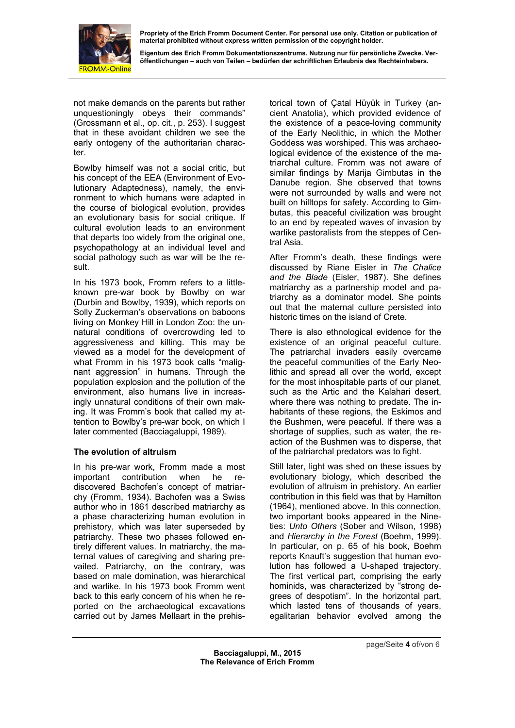

**Eigentum des Erich Fromm Dokumentationszentrums. Nutzung nur für persönliche Zwecke. Veröffentlichungen – auch von Teilen – bedürfen der schriftlichen Erlaubnis des Rechteinhabers.** 

not make demands on the parents but rather unquestioningly obeys their commands" (Grossmann et al., op. cit., p. 253). I suggest that in these avoidant children we see the early ontogeny of the authoritarian character.

Bowlby himself was not a social critic, but his concept of the EEA (Environment of Evolutionary Adaptedness), namely, the environment to which humans were adapted in the course of biological evolution, provides an evolutionary basis for social critique. If cultural evolution leads to an environment that departs too widely from the original one, psychopathology at an individual level and social pathology such as war will be the result.

In his 1973 book, Fromm refers to a littleknown pre-war book by Bowlby on war (Durbin and Bowlby, 1939), which reports on Solly Zuckerman's observations on baboons living on Monkey Hill in London Zoo: the unnatural conditions of overcrowding led to aggressiveness and killing. This may be viewed as a model for the development of what Fromm in his 1973 book calls "malignant aggression" in humans. Through the population explosion and the pollution of the environment, also humans live in increasingly unnatural conditions of their own making. It was Fromm's book that called my attention to Bowlby's pre-war book, on which I later commented (Bacciagaluppi, 1989).

# **The evolution of altruism**

In his pre-war work, Fromm made a most important contribution when he rediscovered Bachofen's concept of matriarchy (Fromm, 1934). Bachofen was a Swiss author who in 1861 described matriarchy as a phase characterizing human evolution in prehistory, which was later superseded by patriarchy. These two phases followed entirely different values. In matriarchy, the maternal values of caregiving and sharing prevailed. Patriarchy, on the contrary, was based on male domination, was hierarchical and warlike. In his 1973 book Fromm went back to this early concern of his when he reported on the archaeological excavations carried out by James Mellaart in the prehistorical town of Çatal Hüyük in Turkey (ancient Anatolia), which provided evidence of the existence of a peace-loving community of the Early Neolithic, in which the Mother Goddess was worshiped. This was archaeological evidence of the existence of the matriarchal culture. Fromm was not aware of similar findings by Marija Gimbutas in the Danube region. She observed that towns were not surrounded by walls and were not built on hilltops for safety. According to Gimbutas, this peaceful civilization was brought to an end by repeated waves of invasion by warlike pastoralists from the steppes of Central Asia.

After Fromm's death, these findings were discussed by Riane Eisler in *The Chalice and the Blade* (Eisler, 1987). She defines matriarchy as a partnership model and patriarchy as a dominator model. She points out that the maternal culture persisted into historic times on the island of Crete.

There is also ethnological evidence for the existence of an original peaceful culture. The patriarchal invaders easily overcame the peaceful communities of the Early Neolithic and spread all over the world, except for the most inhospitable parts of our planet, such as the Artic and the Kalahari desert, where there was nothing to predate. The inhabitants of these regions, the Eskimos and the Bushmen, were peaceful. If there was a shortage of supplies, such as water, the reaction of the Bushmen was to disperse, that of the patriarchal predators was to fight.

Still later, light was shed on these issues by evolutionary biology, which described the evolution of altruism in prehistory. An earlier contribution in this field was that by Hamilton (1964), mentioned above. In this connection, two important books appeared in the Nineties: *Unto Others* (Sober and Wilson, 1998) and *Hierarchy in the Forest* (Boehm, 1999). In particular, on p. 65 of his book, Boehm reports Knauft's suggestion that human evolution has followed a U-shaped trajectory. The first vertical part, comprising the early hominids, was characterized by "strong degrees of despotism". In the horizontal part, which lasted tens of thousands of years, egalitarian behavior evolved among the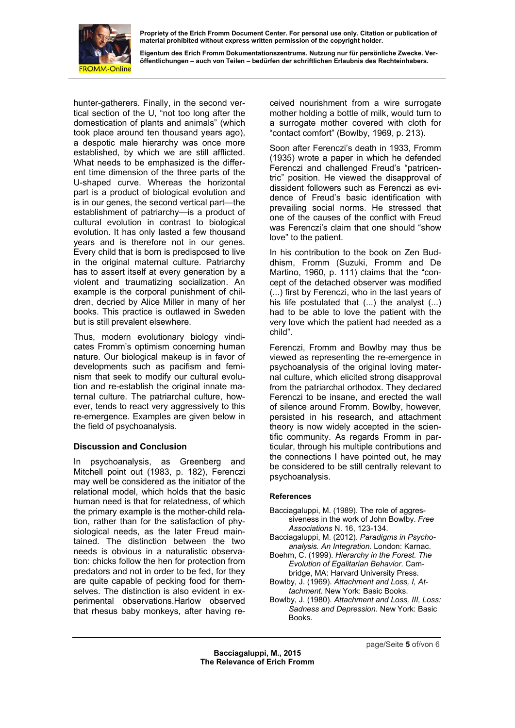

**Eigentum des Erich Fromm Dokumentationszentrums. Nutzung nur für persönliche Zwecke. Veröffentlichungen – auch von Teilen – bedürfen der schriftlichen Erlaubnis des Rechteinhabers.** 

hunter-gatherers. Finally, in the second vertical section of the U, "not too long after the domestication of plants and animals" (which took place around ten thousand years ago), a despotic male hierarchy was once more established, by which we are still afflicted. What needs to be emphasized is the different time dimension of the three parts of the U-shaped curve. Whereas the horizontal part is a product of biological evolution and is in our genes, the second vertical part—the establishment of patriarchy—is a product of cultural evolution in contrast to biological evolution. It has only lasted a few thousand years and is therefore not in our genes. Every child that is born is predisposed to live in the original maternal culture. Patriarchy has to assert itself at every generation by a violent and traumatizing socialization. An example is the corporal punishment of children, decried by Alice Miller in many of her books. This practice is outlawed in Sweden but is still prevalent elsewhere.

Thus, modern evolutionary biology vindicates Fromm's optimism concerning human nature. Our biological makeup is in favor of developments such as pacifism and feminism that seek to modify our cultural evolution and re-establish the original innate maternal culture. The patriarchal culture, however, tends to react very aggressively to this re-emergence. Examples are given below in the field of psychoanalysis.

# **Discussion and Conclusion**

In psychoanalysis, as Greenberg and Mitchell point out (1983, p. 182), Ferenczi may well be considered as the initiator of the relational model, which holds that the basic human need is that for relatedness, of which the primary example is the mother-child relation, rather than for the satisfaction of physiological needs, as the later Freud maintained. The distinction between the two needs is obvious in a naturalistic observation: chicks follow the hen for protection from predators and not in order to be fed, for they are quite capable of pecking food for themselves. The distinction is also evident in experimental observations.Harlow observed that rhesus baby monkeys, after having received nourishment from a wire surrogate mother holding a bottle of milk, would turn to a surrogate mother covered with cloth for "contact comfort" (Bowlby, 1969, p. 213).

Soon after Ferenczi's death in 1933, Fromm (1935) wrote a paper in which he defended Ferenczi and challenged Freud's "patricentric" position. He viewed the disapproval of dissident followers such as Ferenczi as evidence of Freud's basic identification with prevailing social norms. He stressed that one of the causes of the conflict with Freud was Ferenczi's claim that one should "show love" to the patient.

In his contribution to the book on Zen Buddhism, Fromm (Suzuki, Fromm and De Martino, 1960, p. 111) claims that the "concept of the detached observer was modified (...) first by Ferenczi, who in the last years of his life postulated that (...) the analyst (...) had to be able to love the patient with the very love which the patient had needed as a child".

Ferenczi, Fromm and Bowlby may thus be viewed as representing the re-emergence in psychoanalysis of the original loving maternal culture, which elicited strong disapproval from the patriarchal orthodox. They declared Ferenczi to be insane, and erected the wall of silence around Fromm. Bowlby, however, persisted in his research, and attachment theory is now widely accepted in the scientific community. As regards Fromm in particular, through his multiple contributions and the connections I have pointed out, he may be considered to be still centrally relevant to psychoanalysis.

# **References**

- Bacciagaluppi, M. (1989). The role of aggressiveness in the work of John Bowlby. *Free Associations* N. 16, 123-134.
- Bacciagaluppi, M. (2012). *Paradigms in Psychoanalysis. An Integration*. London: Karnac.
- Boehm, C. (1999). *Hierarchy in the Forest. The Evolution of Egalitarian Behavior*. Cambridge, MA: Harvard University Press.
- Bowlby, J. (1969). *Attachment and Loss, I, Attachment*. New York: Basic Books.
- Bowlby, J. (1980). *Attachment and Loss, III, Loss: Sadness and Depression*. New York: Basic Books.

**Bacciagaluppi, M., 2015 The Relevance of Erich Fromm**